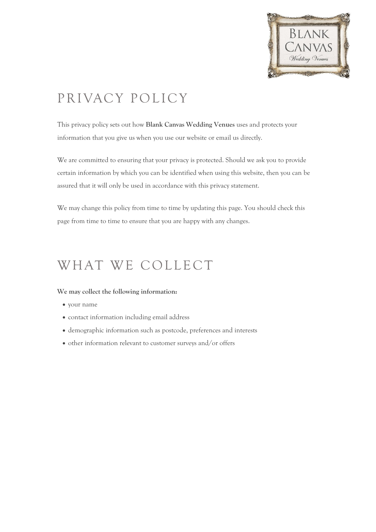

# PRIVACY POLICY

This privacy policy sets out how **Blank Canvas Wedding Venues** uses and protects your information that you give us when you use our website or email us directly.

We are committed to ensuring that your privacy is protected. Should we ask you to provide certain information by which you can be identified when using this website, then you can be assured that it will only be used in accordance with this privacy statement.

We may change this policy from time to time by updating this page. You should check this page from time to time to ensure that you are happy with any changes.

## WHAT WE COLLECT

#### **We may collect the following information:**

- your name
- contact information including email address
- demographic information such as postcode, preferences and interests
- other information relevant to customer surveys and/or offers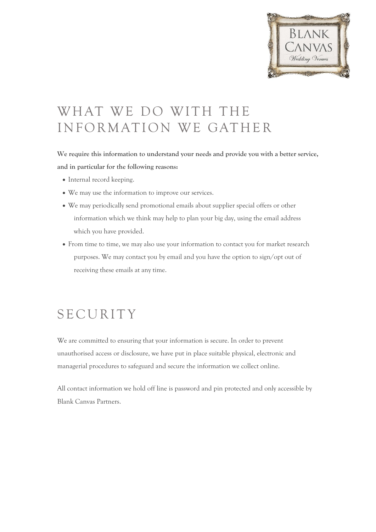

# WHAT WE DO WITH THE INFORMATION WE GATHER

**We require this information to understand your needs and provide you with a better service, and in particular for the following reasons:**

- Internal record keeping.
- We may use the information to improve our services.
- We may periodically send promotional emails about supplier special offers or other information which we think may help to plan your big day, using the email address which you have provided.
- From time to time, we may also use your information to contact you for market research purposes. We may contact you by email and you have the option to sign/opt out of receiving these emails at any time.

### **SECURITY**

We are committed to ensuring that your information is secure. In order to prevent unauthorised access or disclosure, we have put in place suitable physical, electronic and managerial procedures to safeguard and secure the information we collect online.

All contact information we hold off line is password and pin protected and only accessible by Blank Canvas Partners.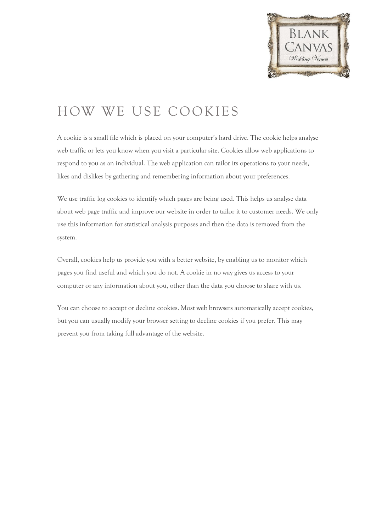

# HOW WE USE COOKIES

A cookie is a small file which is placed on your computer's hard drive. The cookie helps analyse web traffic or lets you know when you visit a particular site. Cookies allow web applications to respond to you as an individual. The web application can tailor its operations to your needs, likes and dislikes by gathering and remembering information about your preferences.

We use traffic log cookies to identify which pages are being used. This helps us analyse data about web page traffic and improve our website in order to tailor it to customer needs. We only use this information for statistical analysis purposes and then the data is removed from the system.

Overall, cookies help us provide you with a better website, by enabling us to monitor which pages you find useful and which you do not. A cookie in no way gives us access to your computer or any information about you, other than the data you choose to share with us.

You can choose to accept or decline cookies. Most web browsers automatically accept cookies, but you can usually modify your browser setting to decline cookies if you prefer. This may prevent you from taking full advantage of the website.